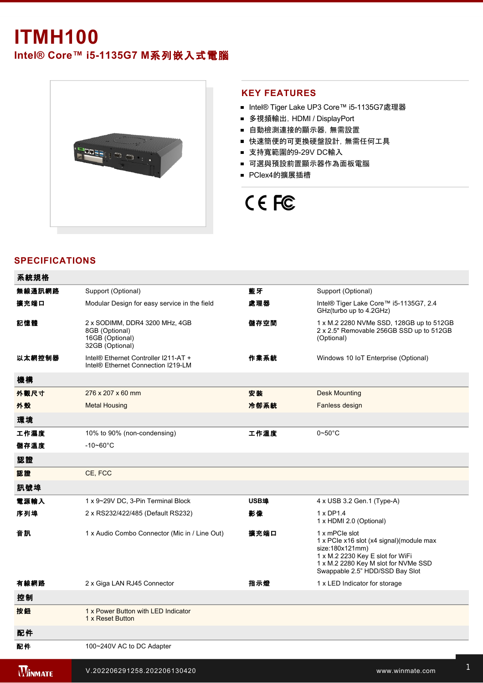# **ITMH100**

**Intel® Core™ i51135G7 M**系列嵌入式電腦



#### **KEY FEATURES**

- Intel® Tiger Lake UP3 Core™ i5-1135G7處理器
- 多視頻輸出, HDMI / DisplayPort
- 自動檢測連接的顯示器, 無需設置
- 快速簡便的可更換硬盤設計, 無需任何工具
- 支持寬範圍的9-29V DC輸入
- 可選與預設前置顯示器作為面板電腦
- PClex4的擴展插槽

# CE FC

## **SPECIFICATIONS**

| 系統規格           |                                                                                        |      |                                                                                                                                                                                               |
|----------------|----------------------------------------------------------------------------------------|------|-----------------------------------------------------------------------------------------------------------------------------------------------------------------------------------------------|
| 無線通訊網路         | Support (Optional)                                                                     | 藍牙   | Support (Optional)                                                                                                                                                                            |
| 擴充端口           | Modular Design for easy service in the field                                           | 處理器  | Intel® Tiger Lake Core™ i5-1135G7, 2.4<br>GHz(turbo up to 4.2GHz)                                                                                                                             |
| 記憶體            | 2 x SODIMM, DDR4 3200 MHz, 4GB<br>8GB (Optional)<br>16GB (Optional)<br>32GB (Optional) | 儲存空間 | 1 x M.2 2280 NVMe SSD, 128GB up to 512GB<br>2 x 2.5" Removable 256GB SSD up to 512GB<br>(Optional)                                                                                            |
| 以太網控制器         | Intel® Ethernet Controller I211-AT +<br>Intel <sup>®</sup> Ethernet Connection I219-LM | 作業系統 | Windows 10 IoT Enterprise (Optional)                                                                                                                                                          |
| 機構             |                                                                                        |      |                                                                                                                                                                                               |
| 外觀尺寸           | 276 x 207 x 60 mm                                                                      | 安装   | <b>Desk Mounting</b>                                                                                                                                                                          |
| 外殼             | <b>Metal Housing</b>                                                                   | 冷卻系統 | Fanless design                                                                                                                                                                                |
| 環境             |                                                                                        |      |                                                                                                                                                                                               |
| 工作濕度           | 10% to 90% (non-condensing)                                                            | 工作溫度 | $0\neg 50^\circ C$                                                                                                                                                                            |
| 儲存溫度           | $-10 - 60^{\circ}$ C                                                                   |      |                                                                                                                                                                                               |
| 認證             |                                                                                        |      |                                                                                                                                                                                               |
| 認證             | CE, FCC                                                                                |      |                                                                                                                                                                                               |
| 訊號埠            |                                                                                        |      |                                                                                                                                                                                               |
| 電源輸入           | 1 x 9~29V DC, 3-Pin Terminal Block                                                     | USB埠 | 4 x USB 3.2 Gen.1 (Type-A)                                                                                                                                                                    |
| 序列埠            | 2 x RS232/422/485 (Default RS232)                                                      | 影像   | 1 x DP1.4<br>1 x HDMI 2.0 (Optional)                                                                                                                                                          |
| 音訊             | 1 x Audio Combo Connector (Mic in / Line Out)                                          | 擴充端口 | 1 x mPCle slot<br>1 x PCIe x16 slot (x4 signal) (module max<br>size:180x121mm)<br>1 x M.2 2230 Key E slot for WiFi<br>1 x M.2 2280 Key M slot for NVMe SSD<br>Swappable 2.5" HDD/SSD Bay Slot |
| 有線網路           | 2 x Giga LAN RJ45 Connector                                                            | 指示燈  | 1 x LED Indicator for storage                                                                                                                                                                 |
| 控制             |                                                                                        |      |                                                                                                                                                                                               |
| 按鈕             | 1 x Power Button with LED Indicator<br>1 x Reset Button                                |      |                                                                                                                                                                                               |
| 配件             |                                                                                        |      |                                                                                                                                                                                               |
| 配件             | 100~240V AC to DC Adapter                                                              |      |                                                                                                                                                                                               |
| <b>WINMATE</b> | V.202206291258.202206130420                                                            |      | www.winmate.com                                                                                                                                                                               |